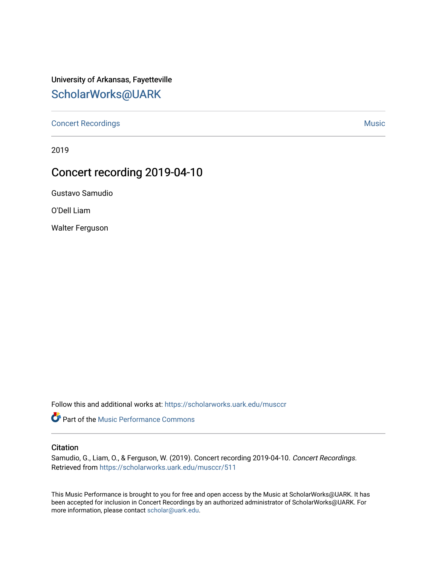## University of Arkansas, Fayetteville [ScholarWorks@UARK](https://scholarworks.uark.edu/)

[Concert Recordings](https://scholarworks.uark.edu/musccr) [Music](https://scholarworks.uark.edu/musc) Network and Security Assembly and Security Assembly Assembly Assembly Assembly Assembly

2019

## Concert recording 2019-04-10

Gustavo Samudio

O'Dell Liam

Walter Ferguson

Follow this and additional works at: [https://scholarworks.uark.edu/musccr](https://scholarworks.uark.edu/musccr?utm_source=scholarworks.uark.edu%2Fmusccr%2F511&utm_medium=PDF&utm_campaign=PDFCoverPages) 

**Part of the [Music Performance Commons](http://network.bepress.com/hgg/discipline/1128?utm_source=scholarworks.uark.edu%2Fmusccr%2F511&utm_medium=PDF&utm_campaign=PDFCoverPages)** 

## **Citation**

Samudio, G., Liam, O., & Ferguson, W. (2019). Concert recording 2019-04-10. Concert Recordings. Retrieved from [https://scholarworks.uark.edu/musccr/511](https://scholarworks.uark.edu/musccr/511?utm_source=scholarworks.uark.edu%2Fmusccr%2F511&utm_medium=PDF&utm_campaign=PDFCoverPages)

This Music Performance is brought to you for free and open access by the Music at ScholarWorks@UARK. It has been accepted for inclusion in Concert Recordings by an authorized administrator of ScholarWorks@UARK. For more information, please contact [scholar@uark.edu.](mailto:scholar@uark.edu)